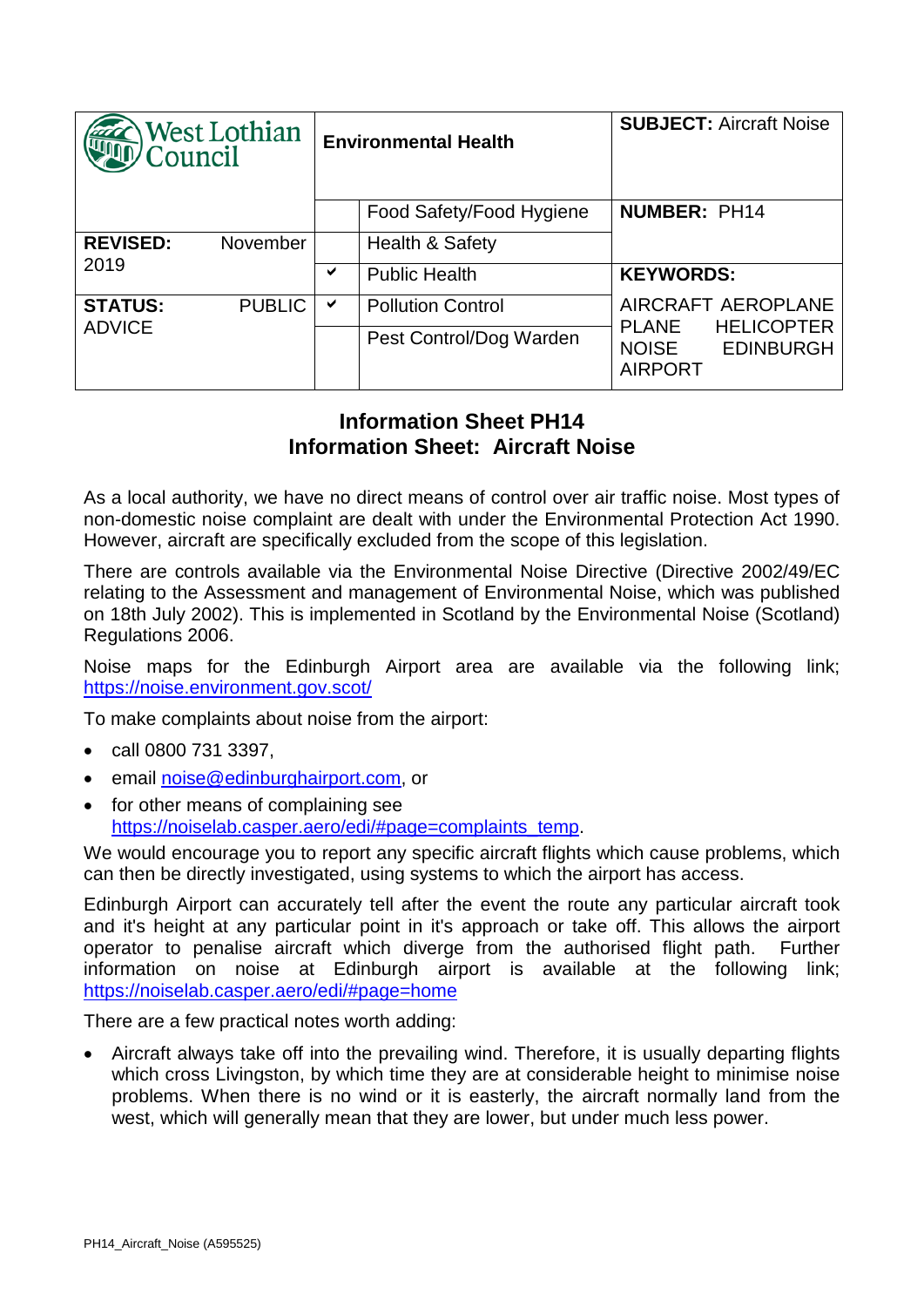| West Lothian<br>Council         |               | <b>Environmental Health</b> |                            | <b>SUBJECT: Aircraft Noise</b>                                                                                |
|---------------------------------|---------------|-----------------------------|----------------------------|---------------------------------------------------------------------------------------------------------------|
|                                 |               |                             | Food Safety/Food Hygiene   | <b>NUMBER: PH14</b>                                                                                           |
| <b>REVISED:</b><br>2019         | November      |                             | <b>Health &amp; Safety</b> |                                                                                                               |
|                                 |               | ✔                           | <b>Public Health</b>       | <b>KEYWORDS:</b>                                                                                              |
| <b>STATUS:</b><br><b>ADVICE</b> | <b>PUBLIC</b> | ✔                           | <b>Pollution Control</b>   | AIRCRAFT AEROPLANE<br><b>HELICOPTER</b><br><b>PLANE</b><br><b>EDINBURGH</b><br><b>NOISE</b><br><b>AIRPORT</b> |
|                                 |               |                             | Pest Control/Dog Warden    |                                                                                                               |

## **Information Sheet PH14 Information Sheet: Aircraft Noise**

As a local authority, we have no direct means of control over air traffic noise. Most types of non-domestic noise complaint are dealt with under the Environmental Protection Act 1990. However, aircraft are specifically excluded from the scope of this legislation.

There are controls available via the Environmental Noise Directive (Directive 2002/49/EC relating to the Assessment and management of Environmental Noise, which was published on 18th July 2002). This is implemented in Scotland by the Environmental Noise (Scotland) Regulations 2006.

Noise maps for the Edinburgh Airport area are available via the following link; <https://noise.environment.gov.scot/>

To make complaints about noise from the airport:

- call 0800 731 3397,
- email [noise@edinburghairport.com,](mailto:noise@edinburghairport.com) or
- for other means of complaining see [https://noiselab.casper.aero/edi/#page=complaints\\_temp.](https://noiselab.casper.aero/edi/#page=complaints_temp)

We would encourage you to report any specific aircraft flights which cause problems, which can then be directly investigated, using systems to which the airport has access.

Edinburgh Airport can accurately tell after the event the route any particular aircraft took and it's height at any particular point in it's approach or take off. This allows the airport operator to penalise aircraft which diverge from the authorised flight path. Further information on noise at Edinburgh airport is available at the following link; <https://noiselab.casper.aero/edi/#page=home>

There are a few practical notes worth adding:

• Aircraft always take off into the prevailing wind. Therefore, it is usually departing flights which cross Livingston, by which time they are at considerable height to minimise noise problems. When there is no wind or it is easterly, the aircraft normally land from the west, which will generally mean that they are lower, but under much less power.